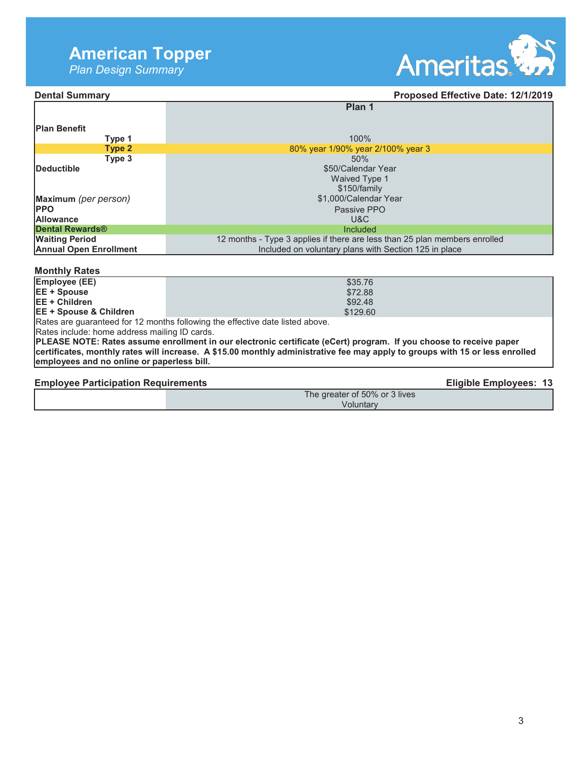# **American Topper**

*Plan Design Summary* 



## **Dental Summary Dental Summary Proposed Effective Date: 12/1/2019**

|                               | Plan 1                                                                     |
|-------------------------------|----------------------------------------------------------------------------|
| <b>Plan Benefit</b>           |                                                                            |
| Type 1                        | 100%                                                                       |
| Type 2                        | 80% year 1/90% year 2/100% year 3                                          |
| Type 3                        | 50%                                                                        |
| <b>IDeductible</b>            | \$50/Calendar Year                                                         |
|                               | <b>Waived Type 1</b>                                                       |
|                               | \$150/family                                                               |
| Maximum (per person)          | \$1,000/Calendar Year                                                      |
| <b>IPPO</b>                   | Passive PPO                                                                |
| <b>Allowance</b>              | U&C                                                                        |
| <b>Dental Rewards®</b>        | Included                                                                   |
| <b>Waiting Period</b>         | 12 months - Type 3 applies if there are less than 25 plan members enrolled |
| <b>Annual Open Enrollment</b> | Included on voluntary plans with Section 125 in place                      |

#### **Monthly Rates**

| Employee (EE)                                                                 |  | \$35.76  |  |
|-------------------------------------------------------------------------------|--|----------|--|
| <b>IEE + Spouse</b>                                                           |  | \$72.88  |  |
| IEE + Children                                                                |  | \$92.48  |  |
| <b>IEE + Spouse &amp; Children</b>                                            |  | \$129.60 |  |
| IDetes are querenteed for 10 menths following the effective data listed above |  |          |  |

Rates are guaranteed for 12 months following the effective date listed above.

Rates include: home address mailing ID cards.

**PLEASE NOTE: Rates assume enrollment in our electronic certificate (eCert) program. If you choose to receive paper certificates, monthly rates will increase. A \$15.00 monthly administrative fee may apply to groups with 15 or less enrolled employees and no online or paperless bill.**

Employee Participation Requirements **Eligible Employees: 13** 

The greater of 50% or 3 lives Voluntary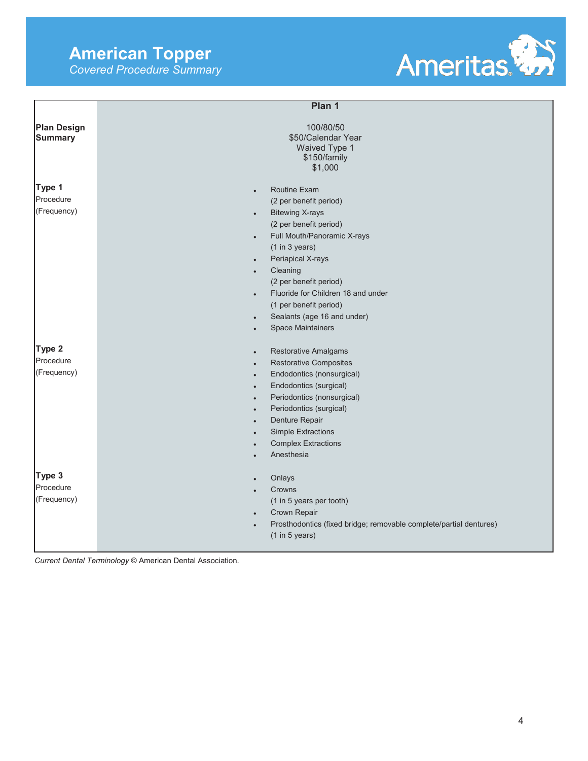# **American Topper**

*Covered Procedure Summary* 



|                                      | Plan 1                                                                                                                                                                                                                                                                                                                                                                                                                              |
|--------------------------------------|-------------------------------------------------------------------------------------------------------------------------------------------------------------------------------------------------------------------------------------------------------------------------------------------------------------------------------------------------------------------------------------------------------------------------------------|
| <b>Plan Design</b><br><b>Summary</b> | 100/80/50<br>\$50/Calendar Year<br>Waived Type 1<br>\$150/family<br>\$1,000                                                                                                                                                                                                                                                                                                                                                         |
| Type 1<br>Procedure<br>(Frequency)   | <b>Routine Exam</b><br>$\bullet$<br>(2 per benefit period)<br><b>Bitewing X-rays</b><br>$\bullet$<br>(2 per benefit period)<br>Full Mouth/Panoramic X-rays<br>$\bullet$<br>(1 in 3 years)<br>Periapical X-rays<br>$\bullet$<br>Cleaning<br>$\bullet$<br>(2 per benefit period)<br>Fluoride for Children 18 and under<br>$\bullet$<br>(1 per benefit period)<br>Sealants (age 16 and under)<br>$\bullet$<br><b>Space Maintainers</b> |
| Type 2<br>Procedure<br>(Frequency)   | <b>Restorative Amalgams</b><br>$\bullet$<br><b>Restorative Composites</b><br>$\bullet$<br>Endodontics (nonsurgical)<br>$\bullet$<br>Endodontics (surgical)<br>$\bullet$<br>Periodontics (nonsurgical)<br>$\bullet$<br>Periodontics (surgical)<br>Denture Repair<br><b>Simple Extractions</b><br><b>Complex Extractions</b><br>Anesthesia                                                                                            |
| Type 3<br>Procedure<br>(Frequency)   | Onlays<br>$\bullet$<br>Crowns<br>(1 in 5 years per tooth)<br>Crown Repair<br>$\bullet$<br>Prosthodontics (fixed bridge; removable complete/partial dentures)<br>$\bullet$<br>(1 in 5 years)                                                                                                                                                                                                                                         |

*Current Dental Terminology* © American Dental Association.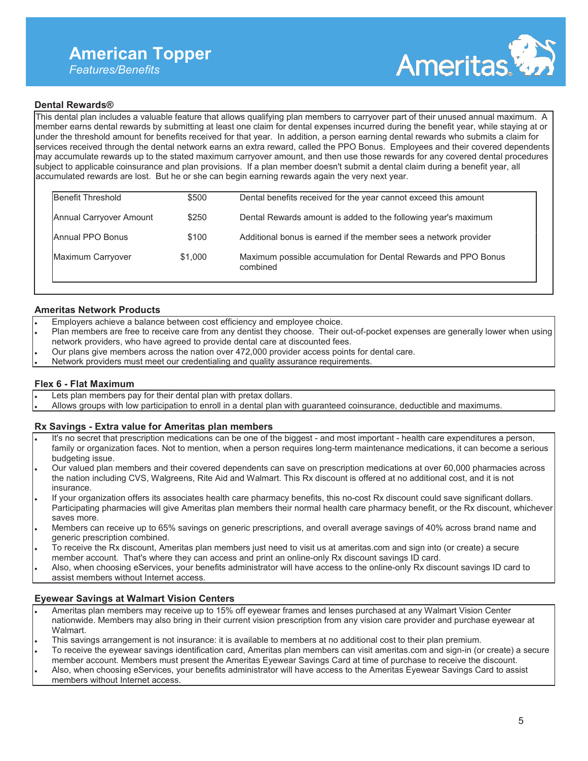# **American Topper**

*Features/Benefits* 



### **Dental Rewards®**

This dental plan includes a valuable feature that allows qualifying plan members to carryover part of their unused annual maximum. A member earns dental rewards by submitting at least one claim for dental expenses incurred during the benefit year, while staying at or under the threshold amount for benefits received for that year. In addition, a person earning dental rewards who submits a claim for services received through the dental network earns an extra reward, called the PPO Bonus. Employees and their covered dependents may accumulate rewards up to the stated maximum carryover amount, and then use those rewards for any covered dental procedures subject to applicable coinsurance and plan provisions. If a plan member doesn't submit a dental claim during a benefit year, all accumulated rewards are lost. But he or she can begin earning rewards again the very next year.

| Benefit Threshold       | \$500   | Dental benefits received for the year cannot exceed this amount            |
|-------------------------|---------|----------------------------------------------------------------------------|
| Annual Carryover Amount | \$250   | Dental Rewards amount is added to the following year's maximum             |
| Annual PPO Bonus        | \$100   | Additional bonus is earned if the member sees a network provider           |
| Maximum Carryover       | \$1,000 | Maximum possible accumulation for Dental Rewards and PPO Bonus<br>combined |

#### **Ameritas Network Products**

- Employers achieve a balance between cost efficiency and employee choice.
- Plan members are free to receive care from any dentist they choose. Their out-of-pocket expenses are generally lower when using network providers, who have agreed to provide dental care at discounted fees.
- Our plans give members across the nation over 472,000 provider access points for dental care.
- Network providers must meet our credentialing and quality assurance requirements.

#### **Flex 6 - Flat Maximum**

- Lets plan members pay for their dental plan with pretax dollars.
- Allows groups with low participation to enroll in a dental plan with guaranteed coinsurance, deductible and maximums.

#### **Rx Savings - Extra value for Ameritas plan members**

- It's no secret that prescription medications can be one of the biggest and most important health care expenditures a person, family or organization faces. Not to mention, when a person requires long-term maintenance medications, it can become a serious budgeting issue.
- Our valued plan members and their covered dependents can save on prescription medications at over 60,000 pharmacies across the nation including CVS, Walgreens, Rite Aid and Walmart. This Rx discount is offered at no additional cost, and it is not insurance.
- If your organization offers its associates health care pharmacy benefits, this no-cost Rx discount could save significant dollars. Participating pharmacies will give Ameritas plan members their normal health care pharmacy benefit, or the Rx discount, whichever saves more.
- Members can receive up to 65% savings on generic prescriptions, and overall average savings of 40% across brand name and generic prescription combined.
- To receive the Rx discount, Ameritas plan members just need to visit us at ameritas.com and sign into (or create) a secure member account. That's where they can access and print an online-only Rx discount savings ID card.
- Also, when choosing eServices, your benefits administrator will have access to the online-only Rx discount savings ID card to assist members without Internet access.

### **Eyewear Savings at Walmart Vision Centers**

- Ameritas plan members may receive up to 15% off eyewear frames and lenses purchased at any Walmart Vision Center nationwide. Members may also bring in their current vision prescription from any vision care provider and purchase eyewear at Walmart.
- This savings arrangement is not insurance: it is available to members at no additional cost to their plan premium.
- To receive the eyewear savings identification card, Ameritas plan members can visit ameritas.com and sign-in (or create) a secure member account. Members must present the Ameritas Eyewear Savings Card at time of purchase to receive the discount.
- Also, when choosing eServices, your benefits administrator will have access to the Ameritas Eyewear Savings Card to assist members without Internet access.